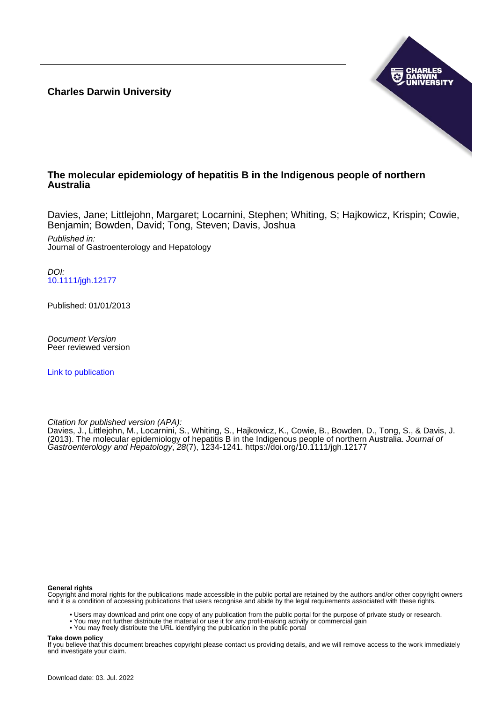**Charles Darwin University**



#### **The molecular epidemiology of hepatitis B in the Indigenous people of northern Australia**

Davies, Jane; Littlejohn, Margaret; Locarnini, Stephen; Whiting, S; Hajkowicz, Krispin; Cowie, Benjamin; Bowden, David; Tong, Steven; Davis, Joshua

Published in: Journal of Gastroenterology and Hepatology

DOI: [10.1111/jgh.12177](https://doi.org/10.1111/jgh.12177)

Published: 01/01/2013

Document Version Peer reviewed version

[Link to publication](https://researchers.cdu.edu.au/en/publications/ad8a3dbb-fbf9-4527-a541-62459736825a)

Citation for published version (APA):

Davies, J., Littlejohn, M., Locarnini, S., Whiting, S., Hajkowicz, K., Cowie, B., Bowden, D., Tong, S., & Davis, J. (2013). The molecular epidemiology of hepatitis B in the Indigenous people of northern Australia. Journal of Gastroenterology and Hepatology, 28(7), 1234-1241.<https://doi.org/10.1111/jgh.12177>

#### **General rights**

Copyright and moral rights for the publications made accessible in the public portal are retained by the authors and/or other copyright owners and it is a condition of accessing publications that users recognise and abide by the legal requirements associated with these rights.

- Users may download and print one copy of any publication from the public portal for the purpose of private study or research.
- You may not further distribute the material or use it for any profit-making activity or commercial gain
- You may freely distribute the URL identifying the publication in the public portal

#### **Take down policy**

If you believe that this document breaches copyright please contact us providing details, and we will remove access to the work immediately and investigate your claim.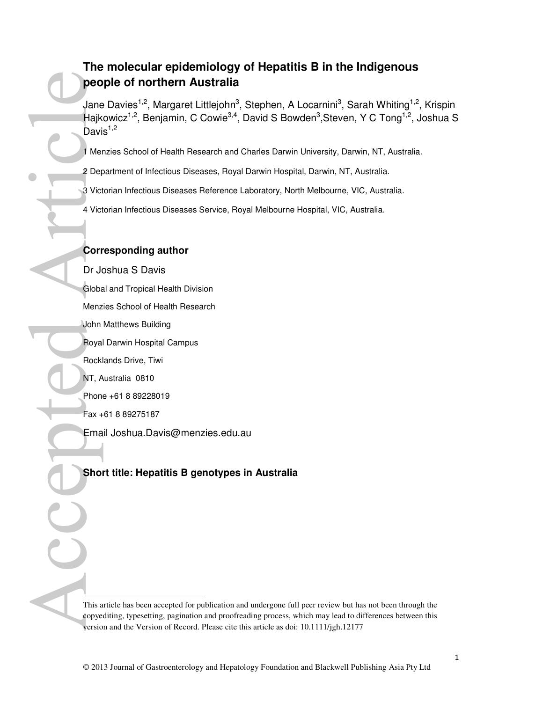# **The molecular epidemiology of Hepatitis B in the Indigenous people of northern Australia**

Jane Davies<sup>1,2</sup>, Margaret Littlejohn<sup>3</sup>, Stephen, A Locarnini<sup>3</sup>, Sarah Whiting<sup>1,2</sup>, Krispin Hajkowicz<sup>1,2</sup>, Benjamin, C Cowie<sup>3,4</sup>, David S Bowden<sup>3</sup>,Steven, Y C Tong<sup>1,2</sup>, Joshua S Davis $1,2$ 

1 Menzies School of Health Research and Charles Darwin University, Darwin, NT, Australia.

2 Department of Infectious Diseases, Royal Darwin Hospital, Darwin, NT, Australia.

3 Victorian Infectious Diseases Reference Laboratory, North Melbourne, VIC, Australia.

4 Victorian Infectious Diseases Service, Royal Melbourne Hospital, VIC, Australia.

#### **Corresponding author**

Dr Joshua S Davis Global and Tropical Health Division **PEO**<br>
Jane<br>
Hajk<br>
David<br>
2 Der<br>
3 Vict<br>
4 Vict<br>
4 Vict<br>
4 Vict<br>
4 Vict<br>
4 Vict<br>
4 Vict<br>
4 Vict<br>
4 Vict<br>
4 Vict<br>
4 Vict<br>
4 Vict<br>
4 Menz<br>
John<br>
Royal<br>
Rock<br>
NT, A<br>
Phon<br>
Royal<br>
Rock<br>
NT, A<br>
Phon<br>
Royal<br>
Rock<br>
NT, A<br>
Phon<br>
F

Menzies School of Health Research

John Matthews Building

Royal Darwin Hospital Campus

Rocklands Drive, Tiwi

NT, Australia 0810

Phone +61 8 89228019

Fax +61 8 89275187

 $\overline{a}$ 

Email Joshua.Davis@menzies.edu.au

#### **Short title: Hepatitis B genotypes in Australia**

This article has been accepted for publication and undergone full peer review but has not been through the copyediting, typesetting, pagination and proofreading process, which may lead to differences between this version and the Version of Record. Please cite this article as doi: 10.1111/jgh.12177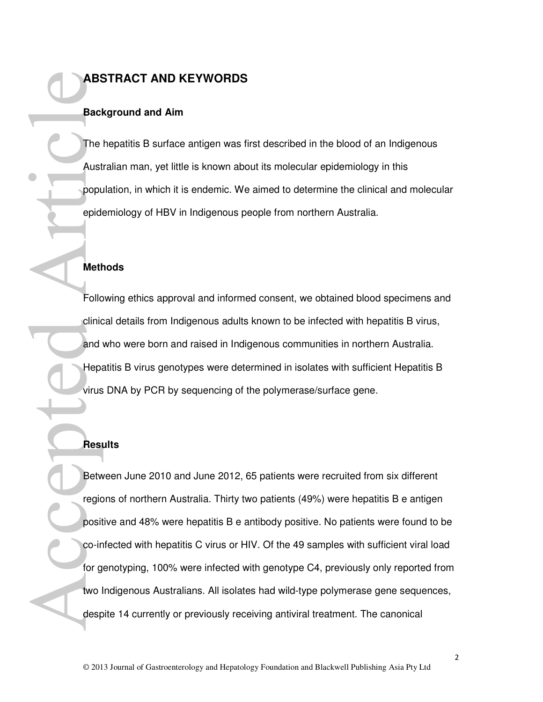# **ABSTRACT AND KEYWORDS**

#### **Background and Aim**

The hepatitis B surface antigen was first described in the blood of an Indigenous Australian man, yet little is known about its molecular epidemiology in this population, in which it is endemic. We aimed to determine the clinical and molecular epidemiology of HBV in Indigenous people from northern Australia.

#### **Methods**

Following ethics approval and informed consent, we obtained blood specimens and clinical details from Indigenous adults known to be infected with hepatitis B virus, and who were born and raised in Indigenous communities in northern Australia. Hepatitis B virus genotypes were determined in isolates with sufficient Hepatitis B virus DNA by PCR by sequencing of the polymerase/surface gene.

#### **Results**

Between June 2010 and June 2012, 65 patients were recruited from six different regions of northern Australia. Thirty two patients (49%) were hepatitis B e antigen positive and 48% were hepatitis B e antibody positive. No patients were found to be co-infected with hepatitis C virus or HIV. Of the 49 samples with sufficient viral load for genotyping, 100% were infected with genotype C4, previously only reported from two Indigenous Australians. All isolates had wild-type polymerase gene sequences, despite 14 currently or previously receiving antiviral treatment. The canonical ABS<br>Bacl<br>Popul<br>Popul<br>Popul<br>Popul<br>Popul<br>Popul<br>Popul<br>Popul<br>Popul<br>Popul<br>Popul<br>Popul<br>Popul<br>Popul<br>Popul<br>Popul<br>Popul<br>Popul<br>Popul<br>Popul<br>Popul<br>Popul<br>Popul<br>Popul<br>Popul<br>Popul<br>Popul<br>Popul<br>Popul<br>Popul<br>Popul<br>Popul<br>Popul<br>Popul<br>Popul<br>Pop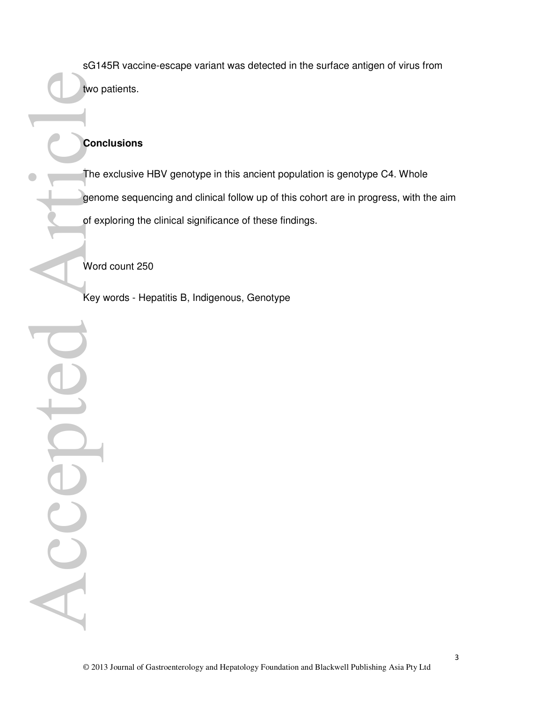sG145R vaccine-escape variant was detected in the surface antigen of virus from two patients.

## **Conclusions**

The exclusive HBV genotype in this ancient population is genotype C4. Whole genome sequencing and clinical follow up of this cohort are in progress, with the aim of exploring the clinical significance of these findings.

Word count 250

Key words - Hepatitis B, Indigenous, Genotype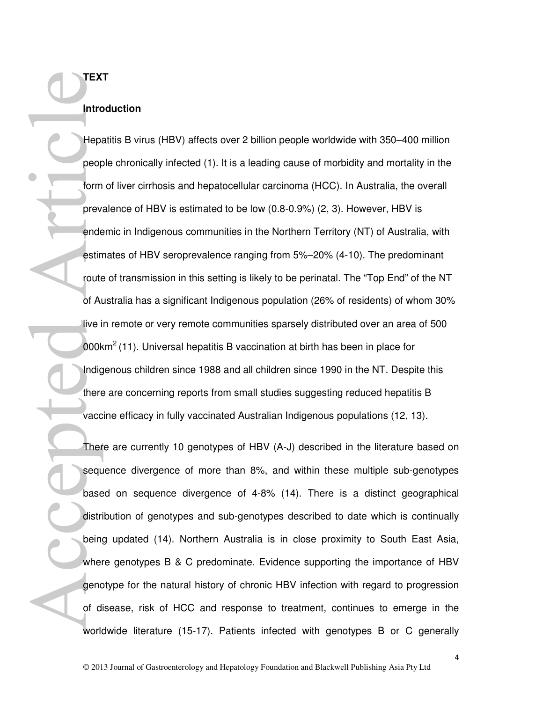# **Introduction**

**TEXT** 

Hepatitis B virus (HBV) affects over 2 billion people worldwide with 350–400 million people chronically infected (1). It is a leading cause of morbidity and mortality in the form of liver cirrhosis and hepatocellular carcinoma (HCC). In Australia, the overall prevalence of HBV is estimated to be low (0.8-0.9%) (2, 3). However, HBV is endemic in Indigenous communities in the Northern Territory (NT) of Australia, with estimates of HBV seroprevalence ranging from 5%–20% (4-10). The predominant route of transmission in this setting is likely to be perinatal. The "Top End" of the NT of Australia has a significant Indigenous population (26% of residents) of whom 30% live in remote or very remote communities sparsely distributed over an area of 500 000 $km^2$  (11). Universal hepatitis B vaccination at birth has been in place for Indigenous children since 1988 and all children since 1990 in the NT. Despite this there are concerning reports from small studies suggesting reduced hepatitis B vaccine efficacy in fully vaccinated Australian Indigenous populations (12, 13). TEX<br>
Intro<br>
Hepa<br>
peop<br>
form<br>
prev.<br>
ende<br>
estin<br>
route<br>
of Al<br>
live i<br>
onobk<br>
Indig<br>
there<br>
vacc<br>
Ther<br>
vacc<br>
There<br>
base<br>
distri<br>
base<br>
distri<br>
base<br>
distri<br>
base<br>
distri<br>
distribute<br>
onobk<br>
distribute<br>
onobk<br>
distribute

There are currently 10 genotypes of HBV (A-J) described in the literature based on sequence divergence of more than 8%, and within these multiple sub-genotypes based on sequence divergence of 4-8% (14). There is a distinct geographical distribution of genotypes and sub-genotypes described to date which is continually being updated (14). Northern Australia is in close proximity to South East Asia, where genotypes B & C predominate. Evidence supporting the importance of HBV genotype for the natural history of chronic HBV infection with regard to progression of disease, risk of HCC and response to treatment, continues to emerge in the worldwide literature (15-17). Patients infected with genotypes B or C generally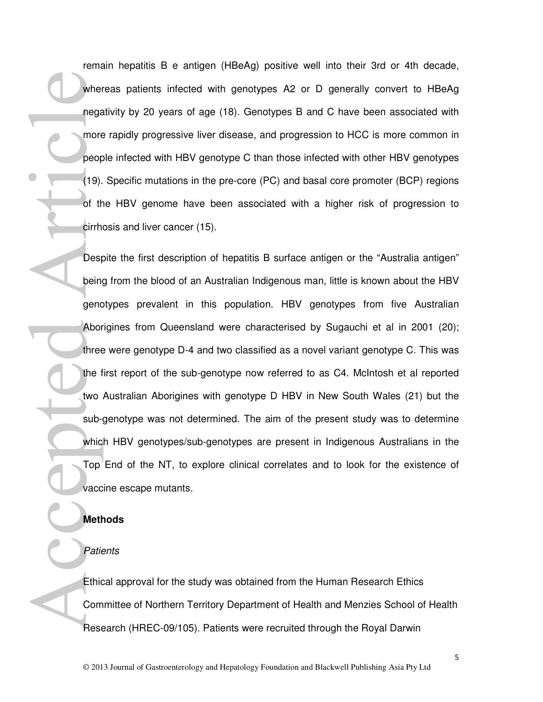remain hepatitis B e antigen (HBeAg) positive well into their 3rd or 4th decade, whereas patients infected with genotypes A2 or D generally convert to HBeAg negativity by 20 years of age (18). Genotypes B and C have been associated with more rapidly progressive liver disease, and progression to HCC is more common in people infected with HBV genotype C than those infected with other HBV genotypes (19). Specific mutations in the pre-core (PC) and basal core promoter (BCP) regions of the HBV genome have been associated with a higher risk of progression to cirrhosis and liver cancer (15).

Despite the first description of hepatitis B surface antigen or the "Australia antigen" being from the blood of an Australian Indigenous man, little is known about the HBV genotypes prevalent in this population. HBV genotypes from five Australian Aborigines from Queensland were characterised by Sugauchi et al in 2001 (20); three were genotype D-4 and two classified as a novel variant genotype C. This was the first report of the sub-genotype now referred to as C4. McIntosh et al reported two Australian Aborigines with genotype D HBV in New South Wales (21) but the sub-genotype was not determined. The aim of the present study was to determine which HBV genotypes/sub-genotypes are present in Indigenous Australians in the Top End of the NT, to explore clinical correlates and to look for the existence of vaccine escape mutants. wher<br>
nega<br>
more<br>
peop<br>
(19).<br>
of the cirrh<br>
Desp<br>
being enc<br>
Abor<br>
three<br>
the f<br>
two<br>
sub-<br>
whic<br>
Top<br>
vacc<br>
Met<br>
Patie<br>
Ethic<br>
Patie<br>
Ethic<br>
Met<br>
Patie<br>
Refl<br>
Refl<br>
Refl<br>
Refl<br>
Refl<br>
Refl<br>
Refl<br>
Refl<br>
Refl<br>
Refl<br>
Refl<br>
R

#### **Methods**

#### **Patients**

Ethical approval for the study was obtained from the Human Research Ethics Committee of Northern Territory Department of Health and Menzies School of Health Research (HREC-09/105). Patients were recruited through the Royal Darwin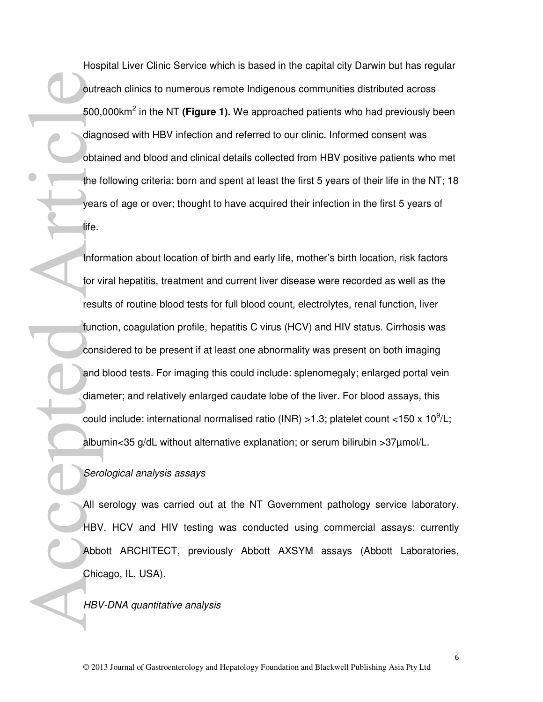Hospital Liver Clinic Service which is based in the capital city Darwin but has regular outreach clinics to numerous remote Indigenous communities distributed across 500,000km<sup>2</sup> in the NT **(Figure 1).** We approached patients who had previously been diagnosed with HBV infection and referred to our clinic. Informed consent was obtained and blood and clinical details collected from HBV positive patients who met the following criteria: born and spent at least the first 5 years of their life in the NT; 18 years of age or over; thought to have acquired their infection in the first 5 years of life.

Information about location of birth and early life, mother's birth location, risk factors for viral hepatitis, treatment and current liver disease were recorded as well as the results of routine blood tests for full blood count, electrolytes, renal function, liver function, coagulation profile, hepatitis C virus (HCV) and HIV status. Cirrhosis was considered to be present if at least one abnormality was present on both imaging and blood tests. For imaging this could include: splenomegaly; enlarged portal vein diameter; and relatively enlarged caudate lobe of the liver. For blood assays, this could include: international normalised ratio (INR) >1.3; platelet count <150 x 10<sup>9</sup>/L; albumin<35 g/dL without alternative explanation; or serum bilirubin >37µmol/L. outre<br>
500,<br>
diagreebta<br>
the f<br>
year:<br>
dife.<br>
Iffe.<br>
Infor tor v<br>
resul<br>
funct<br>
cons<br>
and diam<br>
could<br>
albuy<br>
Serc<br>
All s<br>
HBV<br>
Abboth<br>
Chic<br>
HBV<br>
Abboth<br>
Chic<br>
HBV<br>
Abboth<br>
Chic<br>
HBV<br>
Abboth<br>
Chic<br>
HBV<br>
Abboth<br>
Chic<br>
HBV

#### Serological analysis assays

All serology was carried out at the NT Government pathology service laboratory. HBV, HCV and HIV testing was conducted using commercial assays: currently Abbott ARCHITECT, previously Abbott AXSYM assays (Abbott Laboratories, Chicago, IL, USA).

HBV-DNA quantitative analysis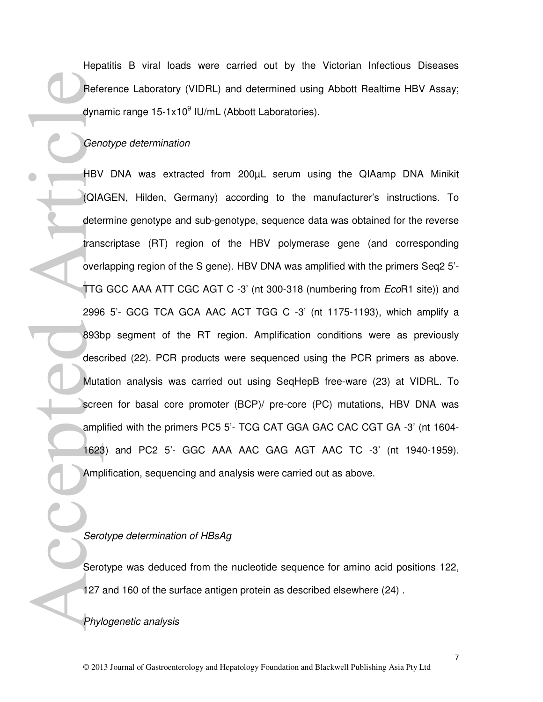Hepatitis B viral loads were carried out by the Victorian Infectious Diseases Reference Laboratory (VIDRL) and determined using Abbott Realtime HBV Assay; dynamic range 15-1x10<sup>9</sup> IU/mL (Abbott Laboratories).

#### Genotype determination

HBV DNA was extracted from 200µL serum using the QIAamp DNA Minikit (QIAGEN, Hilden, Germany) according to the manufacturer's instructions. To determine genotype and sub-genotype, sequence data was obtained for the reverse transcriptase (RT) region of the HBV polymerase gene (and corresponding overlapping region of the S gene). HBV DNA was amplified with the primers Seq2 5'- TTG GCC AAA ATT CGC AGT C -3' (nt 300-318 (numbering from EcoR1 site)) and 2996 5'- GCG TCA GCA AAC ACT TGG C -3' (nt 1175-1193), which amplify a 893bp segment of the RT region. Amplification conditions were as previously described (22). PCR products were sequenced using the PCR primers as above. Mutation analysis was carried out using SeqHepB free-ware (23) at VIDRL. To screen for basal core promoter (BCP)/ pre-core (PC) mutations, HBV DNA was amplified with the primers PC5 5'- TCG CAT GGA GAC CAC CGT GA -3' (nt 1604- 1623) and PC2 5'- GGC AAA AAC GAG AGT AAC TC -3' (nt 1940-1959). Amplification, sequencing and analysis were carried out as above. References<br>
HBV<br>
Glan<br>
dete<br>
TTG<br>
2996<br>
893k<br>
desc<br>
Muta<br>
scree<br>
amp<br>
1625<br>
Amp<br>
1625<br>
Amp<br>
1627<br>
Serc<br>
2996<br>
2996<br>
2996<br>
Amp<br>
1627<br>
Amp<br>
27<br>
Amp<br>
27<br>
Amp<br>
27<br>
Amp<br>
27<br>
Amp<br>
27<br>
Amp<br>
27<br>
Amp<br>
27<br>
27<br>
Amp<br>
27<br>
Amp<br>
27<br>
27<br>

#### Serotype determination of HBsAg

Serotype was deduced from the nucleotide sequence for amino acid positions 122, 127 and 160 of the surface antigen protein as described elsewhere (24) .

Phylogenetic analysis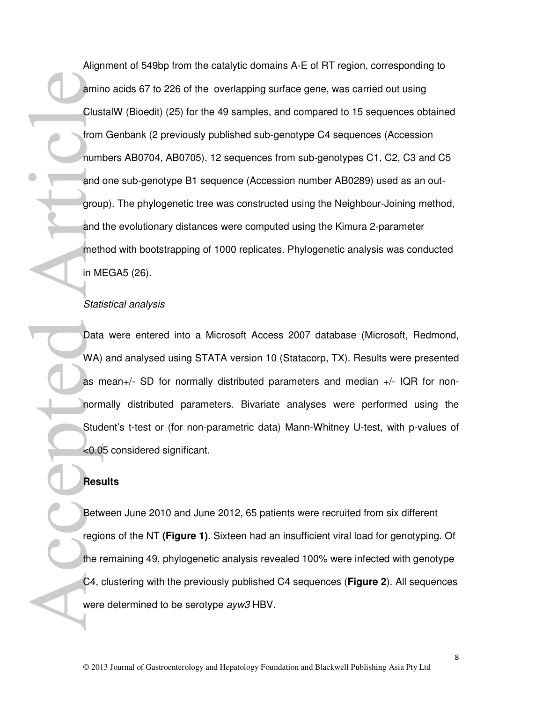Alignment of 549bp from the catalytic domains A-E of RT region, corresponding to amino acids 67 to 226 of the overlapping surface gene, was carried out using ClustalW (Bioedit) (25) for the 49 samples, and compared to 15 sequences obtained from Genbank (2 previously published sub-genotype C4 sequences (Accession numbers AB0704, AB0705), 12 sequences from sub-genotypes C1, C2, C3 and C5 and one sub-genotype B1 sequence (Accession number AB0289) used as an outgroup). The phylogenetic tree was constructed using the Neighbour-Joining method, and the evolutionary distances were computed using the Kimura 2-parameter method with bootstrapping of 1000 replicates. Phylogenetic analysis was conducted in MEGA5 (26). Article

#### Statistical analysis

Data were entered into a Microsoft Access 2007 database (Microsoft, Redmond, WA) and analysed using STATA version 10 (Statacorp, TX). Results were presented as mean+/- SD for normally distributed parameters and median +/- IQR for nonnormally distributed parameters. Bivariate analyses were performed using the Student's t-test or (for non-parametric data) Mann-Whitney U-test, with p-values of <0.05 considered significant. Stati<br>
Data<br>
WA)<br>
as n<br>
norm<br>
Stud<br>
<0.0<br>
Rest<br>
Rest<br>
regic<br>
the r<br>
C4, d<br>
were

#### **Results**

Between June 2010 and June 2012, 65 patients were recruited from six different regions of the NT **(Figure 1)**. Sixteen had an insufficient viral load for genotyping. Of the remaining 49, phylogenetic analysis revealed 100% were infected with genotype C4, clustering with the previously published C4 sequences (**Figure 2**). All sequences were determined to be serotype ayw3 HBV.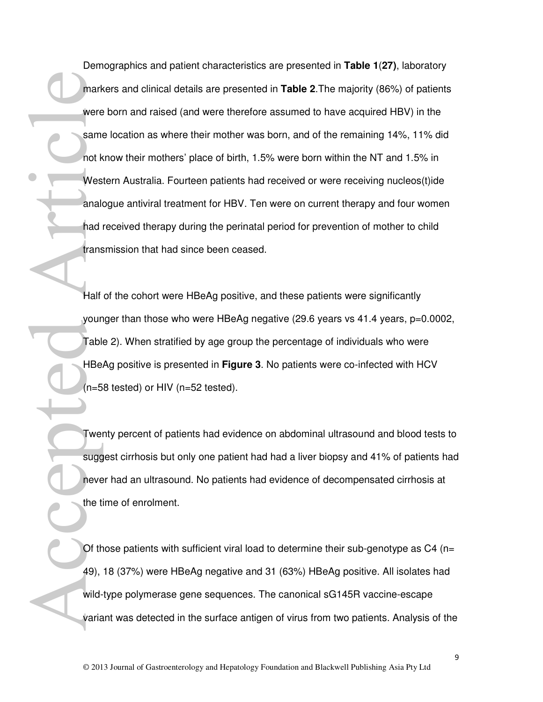Demographics and patient characteristics are presented in **Table 1**(**27)**, laboratory markers and clinical details are presented in **Table 2**.The majority (86%) of patients were born and raised (and were therefore assumed to have acquired HBV) in the same location as where their mother was born, and of the remaining 14%, 11% did not know their mothers' place of birth, 1.5% were born within the NT and 1.5% in Western Australia. Fourteen patients had received or were receiving nucleos(t)ide analogue antiviral treatment for HBV. Ten were on current therapy and four women had received therapy during the perinatal period for prevention of mother to child transmission that had since been ceased. Accepted Article

Half of the cohort were HBeAg positive, and these patients were significantly younger than those who were HBeAg negative (29.6 years vs 41.4 years, p=0.0002, Table 2). When stratified by age group the percentage of individuals who were HBeAg positive is presented in **Figure 3**. No patients were co-infected with HCV  $(n=58$  tested) or HIV  $(n=52$  tested).

Twenty percent of patients had evidence on abdominal ultrasound and blood tests to suggest cirrhosis but only one patient had had a liver biopsy and 41% of patients had never had an ultrasound. No patients had evidence of decompensated cirrhosis at the time of enrolment.

Of those patients with sufficient viral load to determine their sub-genotype as  $C_4$  (n= 49), 18 (37%) were HBeAg negative and 31 (63%) HBeAg positive. All isolates had wild-type polymerase gene sequences. The canonical sG145R vaccine-escape variant was detected in the surface antigen of virus from two patients. Analysis of the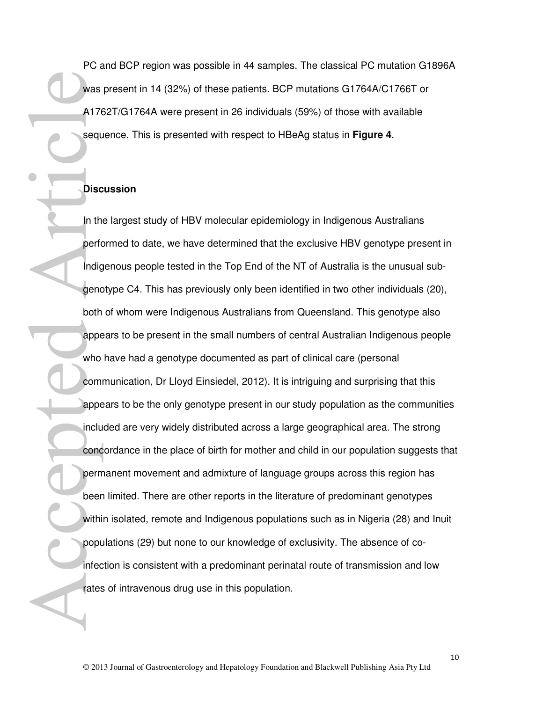PC and BCP region was possible in 44 samples. The classical PC mutation G1896A was present in 14 (32%) of these patients. BCP mutations G1764A/C1766T or A1762T/G1764A were present in 26 individuals (59%) of those with available sequence. This is presented with respect to HBeAg status in **Figure 4**.

#### **Discussion**

In the largest study of HBV molecular epidemiology in Indigenous Australians performed to date, we have determined that the exclusive HBV genotype present in Indigenous people tested in the Top End of the NT of Australia is the unusual subgenotype C4. This has previously only been identified in two other individuals (20), both of whom were Indigenous Australians from Queensland. This genotype also appears to be present in the small numbers of central Australian Indigenous people who have had a genotype documented as part of clinical care (personal communication, Dr Lloyd Einsiedel, 2012). It is intriguing and surprising that this appears to be the only genotype present in our study population as the communities included are very widely distributed across a large geographical area. The strong concordance in the place of birth for mother and child in our population suggests that permanent movement and admixture of language groups across this region has been limited. There are other reports in the literature of predominant genotypes within isolated, remote and Indigenous populations such as in Nigeria (28) and Inuit populations (29) but none to our knowledge of exclusivity. The absence of coinfection is consistent with a predominant perinatal route of transmission and low rates of intravenous drug use in this population. was<br>A176<br>sequence Article<br>Disc<br>Disc<br>Disc<br>Disc<br>In the perform<br>apperton apperton apperton apperton apperton apperton apperton apperton appertunce<br>with population apperton beer<br>with population apperton beer<br>with population an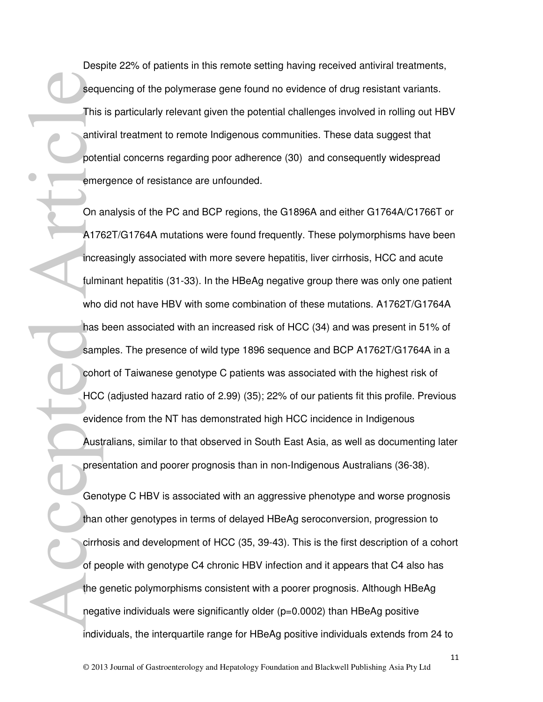Despite 22% of patients in this remote setting having received antiviral treatments, sequencing of the polymerase gene found no evidence of drug resistant variants. This is particularly relevant given the potential challenges involved in rolling out HBV antiviral treatment to remote Indigenous communities. These data suggest that potential concerns regarding poor adherence (30) and consequently widespread emergence of resistance are unfounded.

On analysis of the PC and BCP regions, the G1896A and either G1764A/C1766T or A1762T/G1764A mutations were found frequently. These polymorphisms have been increasingly associated with more severe hepatitis, liver cirrhosis, HCC and acute fulminant hepatitis (31-33). In the HBeAg negative group there was only one patient who did not have HBV with some combination of these mutations. A1762T/G1764A has been associated with an increased risk of HCC (34) and was present in 51% of samples. The presence of wild type 1896 sequence and BCP A1762T/G1764A in a cohort of Taiwanese genotype C patients was associated with the highest risk of HCC (adjusted hazard ratio of 2.99) (35); 22% of our patients fit this profile. Previous evidence from the NT has demonstrated high HCC incidence in Indigenous Australians, similar to that observed in South East Asia, as well as documenting later presentation and poorer prognosis than in non-Indigenous Australians (36-38). equel<br>
This<br>
antive pote<br>
eme<br>
On a<br>
A176<br>
incre<br>
Chan<br>
Han<br>
circle<br>
Chan<br>
Chan<br>
Chan<br>
Chan<br>
Chan<br>
Chan<br>
Chan<br>
Chan<br>
Chan<br>
Chan<br>
Chan<br>
Chan<br>
Chan<br>
Chan<br>
Chan<br>
Chan<br>
Chan<br>
Chan<br>
Chan<br>
Chan<br>
Chan<br>
Chan<br>
Chan<br>
Chan<br>
Chan<br>
Cha

Genotype C HBV is associated with an aggressive phenotype and worse prognosis than other genotypes in terms of delayed HBeAg seroconversion, progression to cirrhosis and development of HCC (35, 39-43). This is the first description of a cohort of people with genotype C4 chronic HBV infection and it appears that C4 also has the genetic polymorphisms consistent with a poorer prognosis. Although HBeAg negative individuals were significantly older (p=0.0002) than HBeAg positive individuals, the interquartile range for HBeAg positive individuals extends from 24 to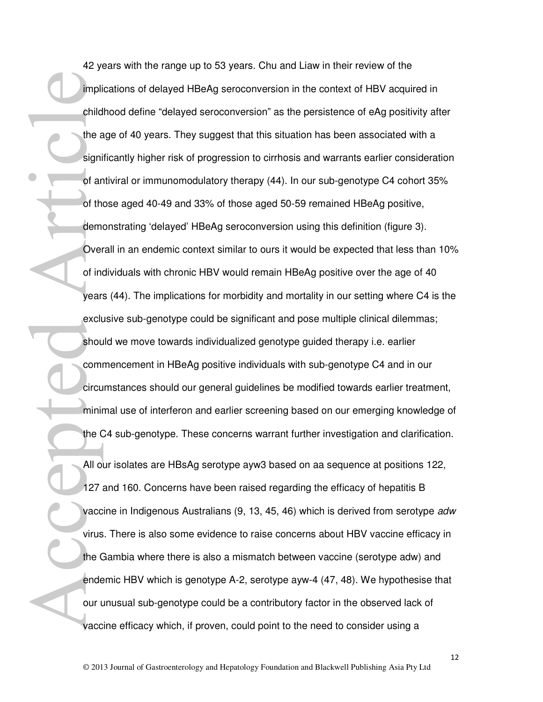42 years with the range up to 53 years. Chu and Liaw in their review of the implications of delayed HBeAg seroconversion in the context of HBV acquired in childhood define "delayed seroconversion" as the persistence of eAg positivity after the age of 40 years. They suggest that this situation has been associated with a significantly higher risk of progression to cirrhosis and warrants earlier consideration of antiviral or immunomodulatory therapy (44). In our sub-genotype C4 cohort 35% of those aged 40-49 and 33% of those aged 50-59 remained HBeAg positive, demonstrating 'delayed' HBeAg seroconversion using this definition (figure 3). Overall in an endemic context similar to ours it would be expected that less than 10% of individuals with chronic HBV would remain HBeAg positive over the age of 40 years (44). The implications for morbidity and mortality in our setting where C4 is the exclusive sub-genotype could be significant and pose multiple clinical dilemmas; should we move towards individualized genotype guided therapy i.e. earlier commencement in HBeAg positive individuals with sub-genotype C4 and in our circumstances should our general guidelines be modified towards earlier treatment, minimal use of interferon and earlier screening based on our emerging knowledge of the C4 sub-genotype. These concerns warrant further investigation and clarification. All our isolates are HBsAg serotype ayw3 based on aa sequence at positions 122, 127 and 160. Concerns have been raised regarding the efficacy of hepatitis B vaccine in Indigenous Australians (9, 13, 45, 46) which is derived from serotype adw virus. There is also some evidence to raise concerns about HBV vaccine efficacy in the Gambia where there is also a mismatch between vaccine (serotype adw) and endemic HBV which is genotype A-2, serotype ayw-4 (47, 48). We hypothesise that our unusual sub-genotype could be a contributory factor in the observed lack of impli<br>
child<br>
the a<br>
signi<br>
of ar<br>
of th<br>
dem<br>
over<br>
of th<br>
dem<br>
over<br>
of th<br>
dem<br>
over<br>
of th<br>
dem<br>
over<br>
of th<br>
sar:<br>
exclu<br>
shou<br>
circu<br>
minit the (<br>
All o<br>
27<br>
yeac:<br>
the C<br>
were the C<br>
shou<br>
circu<br>
minit the (<br>
all o<br>

vaccine efficacy which, if proven, could point to the need to consider using a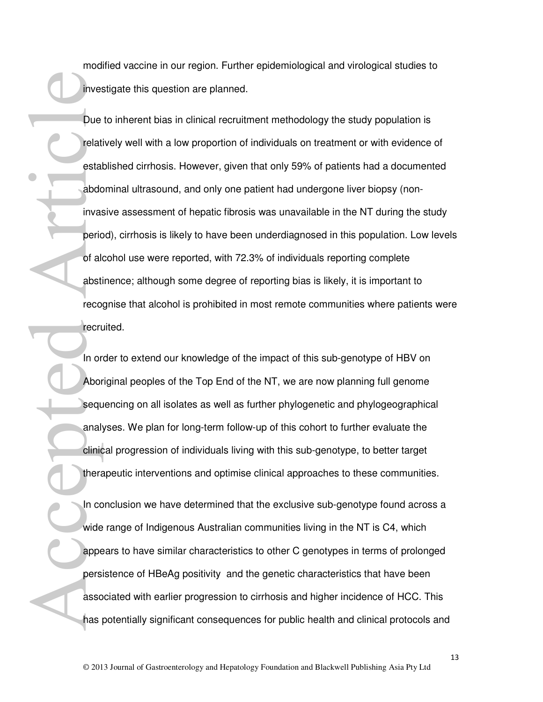modified vaccine in our region. Further epidemiological and virological studies to investigate this question are planned.

Due to inherent bias in clinical recruitment methodology the study population is relatively well with a low proportion of individuals on treatment or with evidence of established cirrhosis. However, given that only 59% of patients had a documented abdominal ultrasound, and only one patient had undergone liver biopsy (noninvasive assessment of hepatic fibrosis was unavailable in the NT during the study period), cirrhosis is likely to have been underdiagnosed in this population. Low levels of alcohol use were reported, with 72.3% of individuals reporting complete abstinence; although some degree of reporting bias is likely, it is important to recognise that alcohol is prohibited in most remote communities where patients were recruited. inves<br>
Due<br>
Pue<br>
etat<br>
etat<br>
abdd<br>
invas<br>
peric<br>
di absti<br>
reco<br>
fect<br>
In or<br>
Abor<br>
sequ<br>
anal;<br>
clinic<br>
thera<br>
abdd<br>
sequ<br>
anal;<br>
clinic<br>
fect<br>
anal;<br>
clinic<br>
fect<br>
anal;<br>
and <br>
and <br>
anal;<br>
<br>
and <br>
and <br>
and <br>
anal;<br>
<br>
a

In order to extend our knowledge of the impact of this sub-genotype of HBV on Aboriginal peoples of the Top End of the NT, we are now planning full genome sequencing on all isolates as well as further phylogenetic and phylogeographical analyses. We plan for long-term follow-up of this cohort to further evaluate the clinical progression of individuals living with this sub-genotype, to better target therapeutic interventions and optimise clinical approaches to these communities.

In conclusion we have determined that the exclusive sub-genotype found across a wide range of Indigenous Australian communities living in the NT is C4, which appears to have similar characteristics to other C genotypes in terms of prolonged persistence of HBeAg positivity and the genetic characteristics that have been associated with earlier progression to cirrhosis and higher incidence of HCC. This has potentially significant consequences for public health and clinical protocols and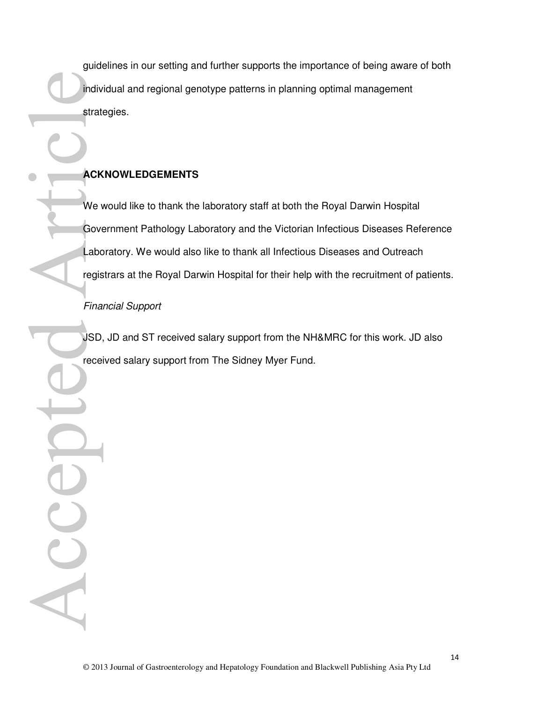guidelines in our setting and further supports the importance of being aware of both individual and regional genotype patterns in planning optimal management strategies.

## **ACKNOWLEDGEMENTS**

We would like to thank the laboratory staff at both the Royal Darwin Hospital Government Pathology Laboratory and the Victorian Infectious Diseases Reference Laboratory. We would also like to thank all Infectious Diseases and Outreach registrars at the Royal Darwin Hospital for their help with the recruitment of patients. Mack We Governot Cover Cover Cover Cover Cover Cover Cover Cover Cover Cover Cover Cover Cover Cover Cover Cover Cover Cover Cover Cover Cover Cover Cover Cover Cover Cover Cover Cover Cover Cover Cover Cover Cover Cover C

Financial Support

ACC

JSD, JD and ST received salary support from the NH&MRC for this work. JD also received salary support from The Sidney Myer Fund.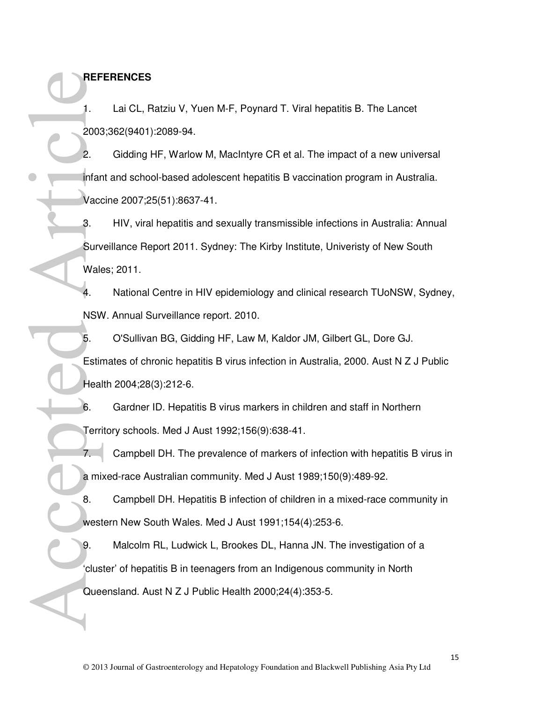## **REFERENCES**

1. Lai CL, Ratziu V, Yuen M-F, Poynard T. Viral hepatitis B. The Lancet 2003;362(9401):2089-94.

2. Gidding HF, Warlow M, MacIntyre CR et al. The impact of a new universal infant and school-based adolescent hepatitis B vaccination program in Australia. Vaccine 2007;25(51):8637-41. REF<br>
1. 2003<br>
2. infan<br>
Vacc<br>
3. Surv<br>
4. NSW<br>
4. NSW<br>
4. NSW<br>
5. Estir<br>
4. NSW<br>
5. Estir<br>
4. NSW<br>
6. Terri<br>
7. ami<br>
8. west<br>
9. Olignarity 8.

3. HIV, viral hepatitis and sexually transmissible infections in Australia: Annual Surveillance Report 2011. Sydney: The Kirby Institute, Univeristy of New South Wales; 2011.

4. National Centre in HIV epidemiology and clinical research TUoNSW, Sydney, NSW. Annual Surveillance report. 2010.

5. O'Sullivan BG, Gidding HF, Law M, Kaldor JM, Gilbert GL, Dore GJ. Estimates of chronic hepatitis B virus infection in Australia, 2000. Aust N Z J Public Health 2004;28(3):212-6.

6. Gardner ID. Hepatitis B virus markers in children and staff in Northern Territory schools. Med J Aust 1992;156(9):638-41.

7. Campbell DH. The prevalence of markers of infection with hepatitis B virus in a mixed-race Australian community. Med J Aust 1989;150(9):489-92.

8. Campbell DH. Hepatitis B infection of children in a mixed-race community in western New South Wales. Med J Aust 1991;154(4):253-6.

9. Malcolm RL, Ludwick L, Brookes DL, Hanna JN. The investigation of a 'cluster' of hepatitis B in teenagers from an Indigenous community in North Queensland. Aust N Z J Public Health 2000;24(4):353-5.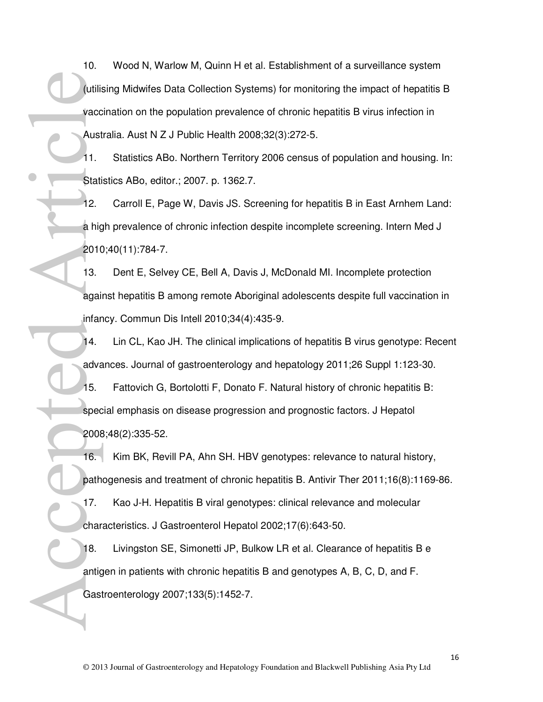10. Wood N, Warlow M, Quinn H et al. Establishment of a surveillance system (utilising Midwifes Data Collection Systems) for monitoring the impact of hepatitis B vaccination on the population prevalence of chronic hepatitis B virus infection in Australia. Aust N Z J Public Health 2008;32(3):272-5.

11. Statistics ABo. Northern Territory 2006 census of population and housing. In: Statistics ABo, editor.; 2007. p. 1362.7.

12. Carroll E, Page W, Davis JS. Screening for hepatitis B in East Arnhem Land: a high prevalence of chronic infection despite incomplete screening. Intern Med J 2010;40(11):784-7.

13. Dent E, Selvey CE, Bell A, Davis J, McDonald MI. Incomplete protection against hepatitis B among remote Aboriginal adolescents despite full vaccination in infancy. Commun Dis Intell 2010;34(4):435-9.

14. Lin CL, Kao JH. The clinical implications of hepatitis B virus genotype: Recent advances. Journal of gastroenterology and hepatology 2011;26 Suppl 1:123-30.

15. Fattovich G, Bortolotti F, Donato F. Natural history of chronic hepatitis B: special emphasis on disease progression and prognostic factors. J Hepatol 2008;48(2):335-52.

16. Kim BK, Revill PA, Ahn SH. HBV genotypes: relevance to natural history, pathogenesis and treatment of chronic hepatitis B. Antivir Ther 2011;16(8):1169-86. 17. Kao J-H. Hepatitis B viral genotypes: clinical relevance and molecular characteristics. J Gastroenterol Hepatol 2002;17(6):643-50. utilis vacce<br>
Vacce<br>
Aust<br>
11. Stati<br>
12. a hig<br>
2010<br>
13. agail infan<br>
13. agail infan<br>
14. adva<br>
15. spec<br>
2008<br>
16. path<br>
17. char.<br>
18. antig<br>
18. antig<br>
18. antig<br>
18. antig<br>
18. antig<br>
18. antig<br>
18. antig

18. Livingston SE, Simonetti JP, Bulkow LR et al. Clearance of hepatitis B e antigen in patients with chronic hepatitis B and genotypes A, B, C, D, and F. Gastroenterology 2007;133(5):1452-7.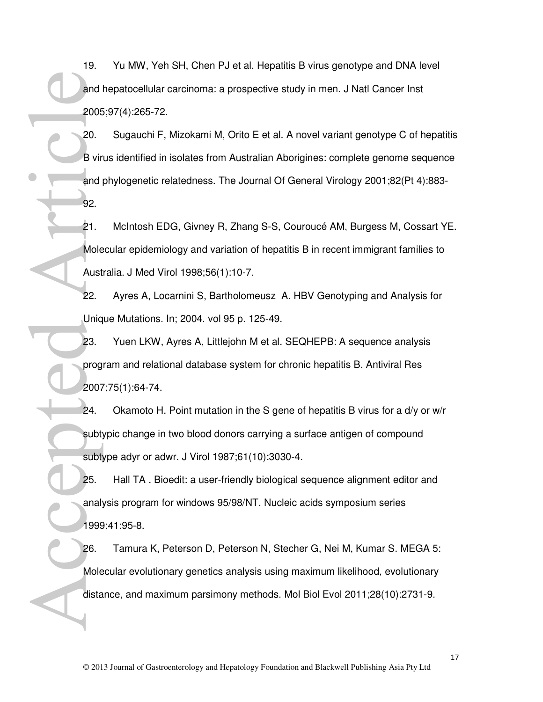19. Yu MW, Yeh SH, Chen PJ et al. Hepatitis B virus genotype and DNA level and hepatocellular carcinoma: a prospective study in men. J Natl Cancer Inst 2005;97(4):265-72.

20. Sugauchi F, Mizokami M, Orito E et al. A novel variant genotype C of hepatitis B virus identified in isolates from Australian Aborigines: complete genome sequence and phylogenetic relatedness. The Journal Of General Virology 2001;82(Pt 4):883- 92. and 2005<br>
2006<br>
2006<br>
2007<br>
21. Mole<br>
Aust 22. Uniq<br>
23. prog<br>
2007<br>
24. subt:<br>
25. anal:<br>
1999<br>
26. Mole<br>
25. anal:<br>
1999<br>
26. Mole<br>
26. anal:<br>
25. anal:<br>
1998

21. McIntosh EDG, Givney R, Zhang S-S, Couroucé AM, Burgess M, Cossart YE. Molecular epidemiology and variation of hepatitis B in recent immigrant families to Australia. J Med Virol 1998;56(1):10-7.

22. Ayres A, Locarnini S, Bartholomeusz A. HBV Genotyping and Analysis for Unique Mutations. In; 2004. vol 95 p. 125-49.

23. Yuen LKW, Ayres A, Littlejohn M et al. SEQHEPB: A sequence analysis program and relational database system for chronic hepatitis B. Antiviral Res 2007;75(1):64-74.

24. Okamoto H. Point mutation in the S gene of hepatitis B virus for a d/y or w/r subtypic change in two blood donors carrying a surface antigen of compound subtype adyr or adwr. J Virol 1987;61(10):3030-4.

25. Hall TA . Bioedit: a user-friendly biological sequence alignment editor and analysis program for windows 95/98/NT. Nucleic acids symposium series 1999;41:95-8.

26. Tamura K, Peterson D, Peterson N, Stecher G, Nei M, Kumar S. MEGA 5: Molecular evolutionary genetics analysis using maximum likelihood, evolutionary distance, and maximum parsimony methods. Mol Biol Evol 2011;28(10):2731-9.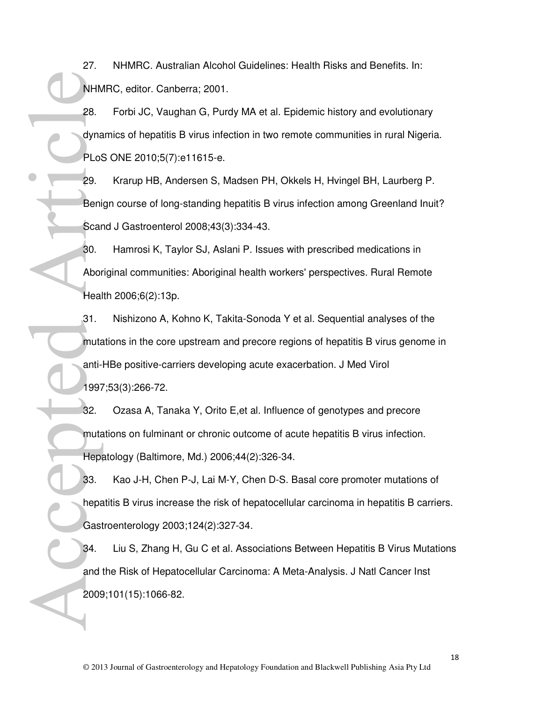27. NHMRC. Australian Alcohol Guidelines: Health Risks and Benefits. In: NHMRC, editor. Canberra; 2001.

28. Forbi JC, Vaughan G, Purdy MA et al. Epidemic history and evolutionary dynamics of hepatitis B virus infection in two remote communities in rural Nigeria. PLoS ONE 2010;5(7):e11615-e.

29. Krarup HB, Andersen S, Madsen PH, Okkels H, Hvingel BH, Laurberg P. Benign course of long-standing hepatitis B virus infection among Greenland Inuit? Scand J Gastroenterol 2008;43(3):334-43.

30. Hamrosi K, Taylor SJ, Aslani P. Issues with prescribed medications in Aboriginal communities: Aboriginal health workers' perspectives. Rural Remote Health 2006;6(2):13p.

31. Nishizono A, Kohno K, Takita-Sonoda Y et al. Sequential analyses of the mutations in the core upstream and precore regions of hepatitis B virus genome in anti-HBe positive-carriers developing acute exacerbation. J Med Virol 1997;53(3):266-72. NHM<br>
28.<br>
dyna<br>
29.<br>
Beni<br>
Scar<br>
30.<br>
Abor<br>
Heal<br>
31.<br>
muta anti-<br>
1997<br>
32.<br>
muta anti-<br>
33.<br>
hepa<br>
33.<br>
hepa<br>
34.<br>
29.<br>
34.<br>
29.<br>
29.<br>
29.<br>
29.<br>
2006<br>
34.<br>
2006<br>
34.<br>
2006<br>
34.<br>
2006<br>
34.<br>
2006<br>
34.<br>
2006<br>
34.<br>
2006<br>
34.

32. Ozasa A, Tanaka Y, Orito E,et al. Influence of genotypes and precore mutations on fulminant or chronic outcome of acute hepatitis B virus infection. Hepatology (Baltimore, Md.) 2006;44(2):326-34.

33. Kao J-H, Chen P-J, Lai M-Y, Chen D-S. Basal core promoter mutations of hepatitis B virus increase the risk of hepatocellular carcinoma in hepatitis B carriers. Gastroenterology 2003;124(2):327-34.

34. Liu S, Zhang H, Gu C et al. Associations Between Hepatitis B Virus Mutations and the Risk of Hepatocellular Carcinoma: A Meta-Analysis. J Natl Cancer Inst 2009;101(15):1066-82.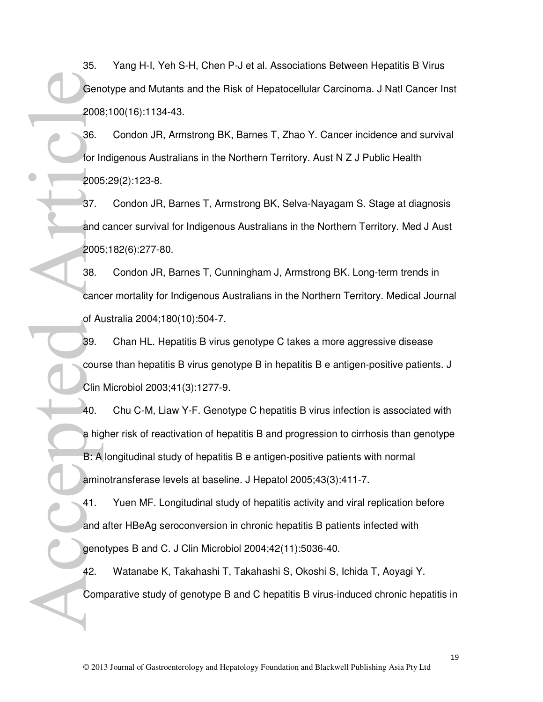35. Yang H-I, Yeh S-H, Chen P-J et al. Associations Between Hepatitis B Virus Genotype and Mutants and the Risk of Hepatocellular Carcinoma. J Natl Cancer Inst 2008;100(16):1134-43.

36. Condon JR, Armstrong BK, Barnes T, Zhao Y. Cancer incidence and survival for Indigenous Australians in the Northern Territory. Aust N Z J Public Health 2005;29(2):123-8.

37. Condon JR, Barnes T, Armstrong BK, Selva-Nayagam S. Stage at diagnosis and cancer survival for Indigenous Australians in the Northern Territory. Med J Aust 2005;182(6):277-80.

38. Condon JR, Barnes T, Cunningham J, Armstrong BK. Long-term trends in cancer mortality for Indigenous Australians in the Northern Territory. Medical Journal of Australia 2004;180(10):504-7.

39. Chan HL. Hepatitis B virus genotype C takes a more aggressive disease course than hepatitis B virus genotype B in hepatitis B e antigen-positive patients. J Clin Microbiol 2003;41(3):1277-9.

40. Chu C-M, Liaw Y-F. Genotype C hepatitis B virus infection is associated with a higher risk of reactivation of hepatitis B and progression to cirrhosis than genotype B: A longitudinal study of hepatitis B e antigen-positive patients with normal aminotransferase levels at baseline. J Hepatol 2005;43(3):411-7. Gene 2008<br>
36. for Ir<br>
2008<br>
37. and 2008<br>
38. canc of At<br>
39. cour:<br>
Clin<br>
40. a hig<br>
B: A amin'<br>
41. and 9 genc 42. Com

41. Yuen MF. Longitudinal study of hepatitis activity and viral replication before and after HBeAg seroconversion in chronic hepatitis B patients infected with genotypes B and C. J Clin Microbiol 2004;42(11):5036-40.

42. Watanabe K, Takahashi T, Takahashi S, Okoshi S, Ichida T, Aoyagi Y. Comparative study of genotype B and C hepatitis B virus-induced chronic hepatitis in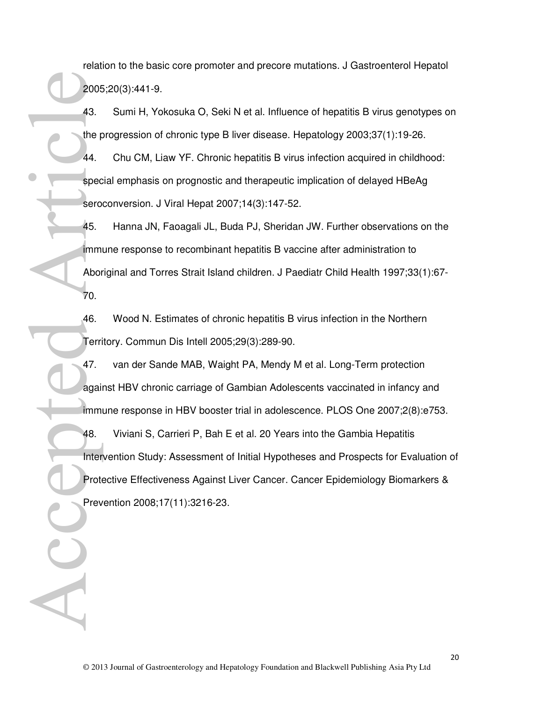relation to the basic core promoter and precore mutations. J Gastroenterol Hepatol 2005;20(3):441-9.

- 43. Sumi H, Yokosuka O, Seki N et al. Influence of hepatitis B virus genotypes on the progression of chronic type B liver disease. Hepatology 2003;37(1):19-26.
- 44. Chu CM, Liaw YF. Chronic hepatitis B virus infection acquired in childhood: special emphasis on prognostic and therapeutic implication of delayed HBeAg seroconversion. J Viral Hepat 2007;14(3):147-52.
- 45. Hanna JN, Faoagali JL, Buda PJ, Sheridan JW. Further observations on the immune response to recombinant hepatitis B vaccine after administration to Aboriginal and Torres Strait Island children. J Paediatr Child Health 1997;33(1):67- 70.
- 46. Wood N. Estimates of chronic hepatitis B virus infection in the Northern Territory. Commun Dis Intell 2005;29(3):289-90.
- 47. van der Sande MAB, Waight PA, Mendy M et al. Long-Term protection against HBV chronic carriage of Gambian Adolescents vaccinated in infancy and immune response in HBV booster trial in adolescence. PLOS One 2007;2(8):e753.
- 48. Viviani S, Carrieri P, Bah E et al. 20 Years into the Gambia Hepatitis Intervention Study: Assessment of Initial Hypotheses and Prospects for Evaluation of Protective Effectiveness Against Liver Cancer. Cancer Epidemiology Biomarkers & Prevention 2008;17(11):3216-23. Prote<br>
Accepted Articles Force<br>
Accepted Articles Force<br>
Abort<br>
70.<br>
46.<br>
Terri 47.<br>
Agai imm<br>
As.<br>
Inter Prote<br>
Prote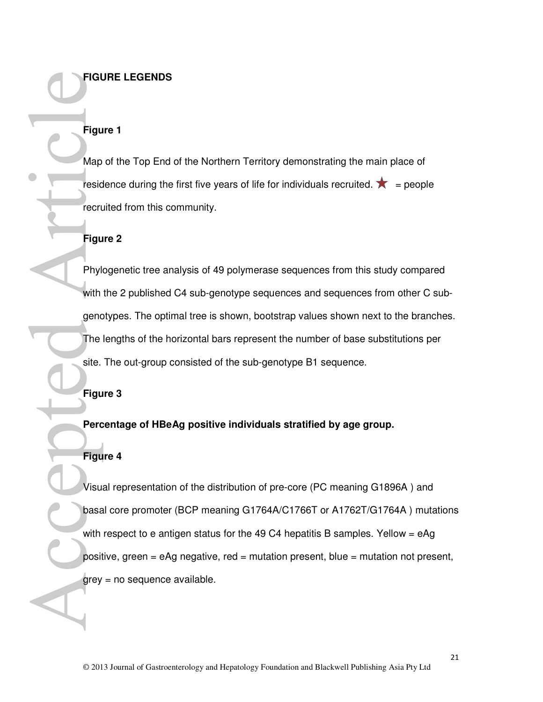#### **FIGURE LEGENDS**

## **Figure 1**

Map of the Top End of the Northern Territory demonstrating the main place of residence during the first five years of life for individuals recruited.  $\bigstar =$  people recruited from this community.

#### **Figure 2**

Phylogenetic tree analysis of 49 polymerase sequences from this study compared with the 2 published C4 sub-genotype sequences and sequences from other C subgenotypes. The optimal tree is shown, bootstrap values shown next to the branches. The lengths of the horizontal bars represent the number of base substitutions per site. The out-group consisted of the sub-genotype B1 sequence.

**Figure 3** 

**Percentage of HBeAg positive individuals stratified by age group.** 

#### **Figure 4**

Visual representation of the distribution of pre-core (PC meaning G1896A ) and basal core promoter (BCP meaning G1764A/C1766T or A1762T/G1764A ) mutations with respect to e antigen status for the 49 C4 hepatitis B samples. Yellow  $=$  eAg positive, green = eAg negative, red = mutation present, blue = mutation not present, grey = no sequence available. Figu<br>
Map<br>
Map<br>
resid<br>
Phyl<br>
with<br>
gend<br>
The<br>
Site.<br>
Figu<br>
Phyl<br>
With<br>
gend<br>
The<br>
Site.<br>
Figu<br>
Visu<br>
Derr<br>
Perr<br>
Perr<br>
Perr<br>
Visu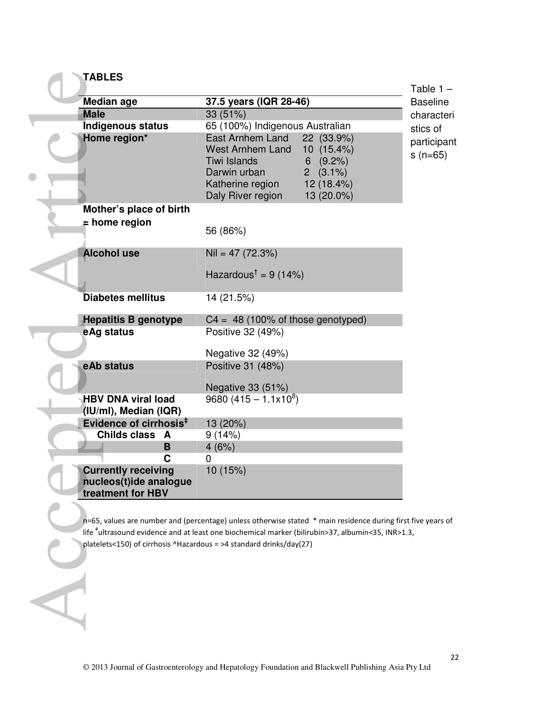| <b>TABLES</b>                                                             |                                                                                                                                                                                                                   | Table $1 -$              |
|---------------------------------------------------------------------------|-------------------------------------------------------------------------------------------------------------------------------------------------------------------------------------------------------------------|--------------------------|
| Median age                                                                | 37.5 years (IQR 28-46)                                                                                                                                                                                            | <b>Baseline</b>          |
| <b>Male</b>                                                               | 33 (51%)                                                                                                                                                                                                          | characteri               |
| Indigenous status                                                         | 65 (100%) Indigenous Australian                                                                                                                                                                                   | stics of                 |
| Home region*                                                              | East Arnhem Land<br>22 (33.9%)<br>10 (15.4%)<br><b>West Arnhem Land</b><br>Tiwi Islands<br>$6(9.2\%)$<br>Darwin urban<br>$2(3.1\%)$<br>Katherine region<br>12 (18.4%)<br>Daly River region<br>13 (20.0%)          | participant<br>$s(n=65)$ |
| Mother's place of birth                                                   |                                                                                                                                                                                                                   |                          |
| $\pm$ home region                                                         |                                                                                                                                                                                                                   |                          |
|                                                                           | 56 (86%)                                                                                                                                                                                                          |                          |
| <b>Alcohol use</b>                                                        | $Nil = 47 (72.3%)$                                                                                                                                                                                                |                          |
|                                                                           | Hazardous <sup>†</sup> = 9 (14%)                                                                                                                                                                                  |                          |
| <b>Diabetes mellitus</b>                                                  | 14 (21.5%)                                                                                                                                                                                                        |                          |
| <b>Hepatitis B genotype</b>                                               | $C4 = 48$ (100% of those genotyped)                                                                                                                                                                               |                          |
| eAg status                                                                | Positive 32 (49%)<br>Negative 32 (49%)                                                                                                                                                                            |                          |
| eAb status                                                                | Positive 31 (48%)                                                                                                                                                                                                 |                          |
|                                                                           | Negative 33 (51%)                                                                                                                                                                                                 |                          |
| <b>HBV DNA viral load</b>                                                 | 9680 $(415 - 1.1 \times 10^8)$                                                                                                                                                                                    |                          |
| (IU/ml), Median (IQR)                                                     |                                                                                                                                                                                                                   |                          |
| Evidence of cirrhosis <sup>#</sup>                                        | 13 (20%)                                                                                                                                                                                                          |                          |
| Childs class A                                                            | 9(14%)                                                                                                                                                                                                            |                          |
| B                                                                         | 4(6%)                                                                                                                                                                                                             |                          |
| С                                                                         | 0                                                                                                                                                                                                                 |                          |
| <b>Currently receiving</b><br>nucleos(t)ide analogue<br>treatment for HBV | 10 (15%)                                                                                                                                                                                                          |                          |
| platelets<150) of cirrhosis ^Hazardous = >4 standard drinks/day(27)       | n=65, values are number and (percentage) unless otherwise stated * main residence during first five years of<br>life "ultrasound evidence and at least one biochemical marker (bilirubin>37, albumin<35, INR>1.3, |                          |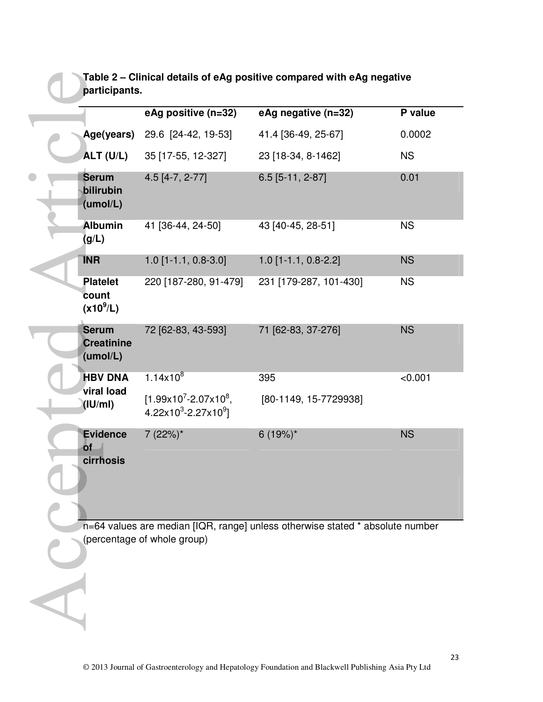|               | Table 2 – Clinical details of eAg positive compared with eAg negative |  |
|---------------|-----------------------------------------------------------------------|--|
| participants. |                                                                       |  |

|                                               | eAg positive (n=32)                                | eAg negative (n=32)                                                           | P value   |
|-----------------------------------------------|----------------------------------------------------|-------------------------------------------------------------------------------|-----------|
| Age(years)                                    | 29.6 [24-42, 19-53]                                | 41.4 [36-49, 25-67]                                                           | 0.0002    |
| ALT (U/L)                                     | 35 [17-55, 12-327]                                 | 23 [18-34, 8-1462]                                                            | <b>NS</b> |
| <b>Serum</b><br>bilirubin<br>(umol/L)         | $4.5$ [4-7, 2-77]                                  | $6.5$ [5-11, 2-87]                                                            | 0.01      |
| <b>Albumin</b><br>(g/L)                       | 41 [36-44, 24-50]                                  | 43 [40-45, 28-51]                                                             | <b>NS</b> |
| <b>INR</b>                                    | $1.0$ [1-1.1, 0.8-3.0]                             | $1.0$ [1-1.1, 0.8-2.2]                                                        | <b>NS</b> |
| <b>Platelet</b><br>count<br>$(x10^9/L)$       | 220 [187-280, 91-479]                              | 231 [179-287, 101-430]                                                        | <b>NS</b> |
| <b>Serum</b><br><b>Creatinine</b><br>(umol/L) | 72 [62-83, 43-593]                                 | 71 [62-83, 37-276]                                                            | <b>NS</b> |
| <b>HBV DNA</b>                                | $1.14x10^{8}$                                      | 395                                                                           | < 0.001   |
| viral load<br>(IU/ml)                         | $[1.99x10^7 - 2.07x10^8]$<br>$4.22x103 - 2.27x109$ | [80-1149, 15-7729938]                                                         |           |
| <b>Evidence</b><br><b>of</b><br>cirrhosis     | $7(22%)^*$                                         | $6(19%)^*$                                                                    | <b>NS</b> |
|                                               | (percentage of whole group)                        | n=64 values are median [IQR, range] unless otherwise stated * absolute number |           |
|                                               |                                                    |                                                                               |           |
|                                               |                                                    |                                                                               |           |
|                                               |                                                    |                                                                               |           |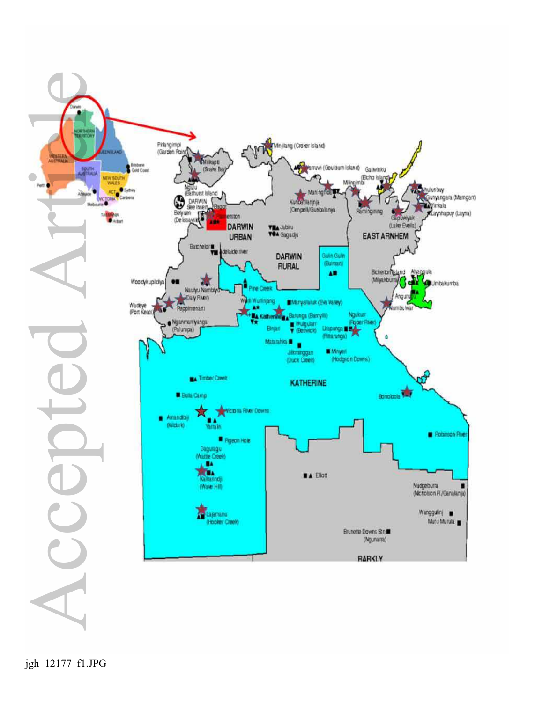

jgh\_12177\_f1.JPG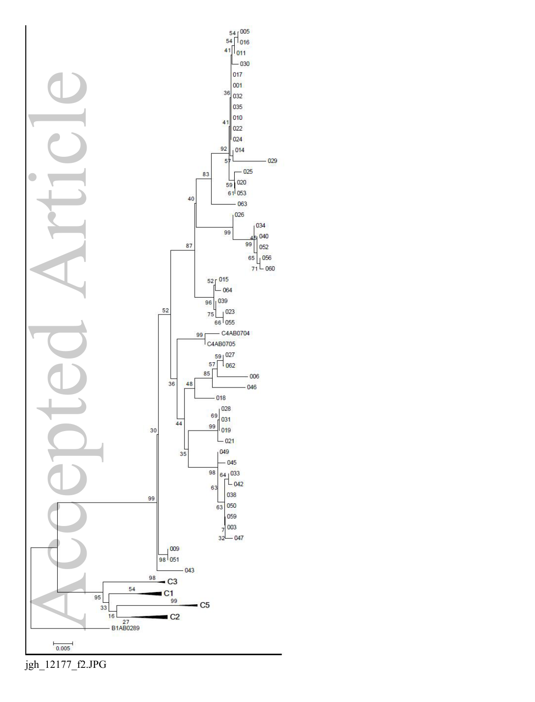

jgh\_12177\_f2.JPG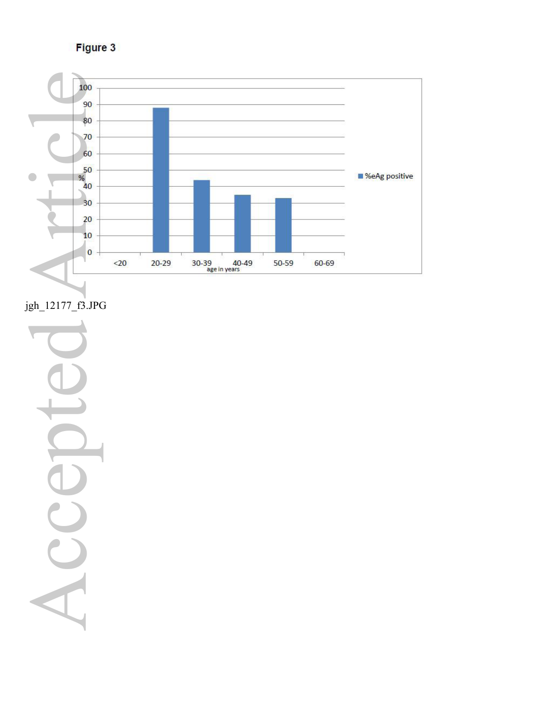Figure 3



jgh\_12177\_f3.JPG

Accepted ArticleS